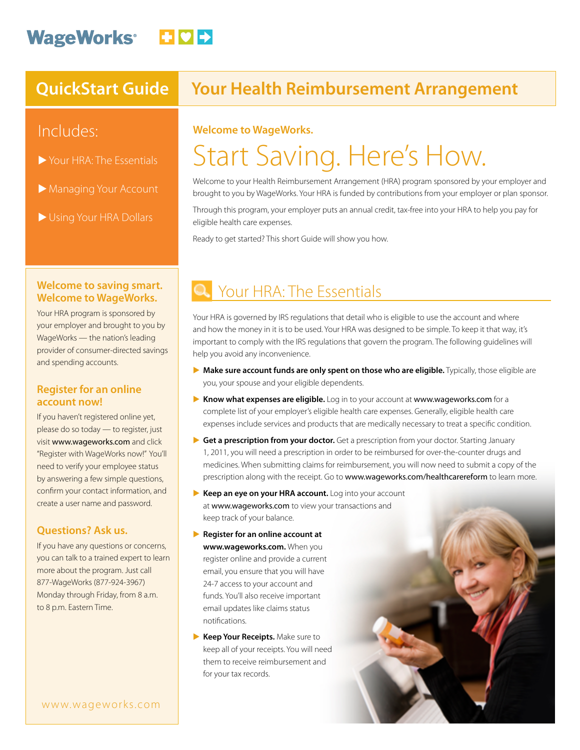## WageWorks<sup>®</sup> **DDD**

### Includes:

- $\triangleright$  Your HRA: The Essentials
- Managing Your Account
- Using Your HRA Dollars

### **QuickStart Guide Your Health Reimbursement Arrangement**

#### **Welcome to WageWorks.**

# Start Saving. Here's How.

Welcome to your Health Reimbursement Arrangement (HRA) program sponsored by your employer and brought to you by WageWorks. Your HRA is funded by contributions from your employer or plan sponsor.

Through this program, your employer puts an annual credit, tax-free into your HRA to help you pay for eligible health care expenses.

Ready to get started? This short Guide will show you how.

#### **Welcome to saving smart. Welcome to WageWorks.**

Your HRA program is sponsored by your employer and brought to you by WageWorks — the nation's leading provider of consumer-directed savings and spending accounts.

#### **Register for an online account now!**

If you haven't registered online yet, please do so today — to register, just visit www.wageworks.com and click "Register with WageWorks now!" You'll need to verify your employee status by answering a few simple questions, confirm your contact information, and create a user name and password.

#### **Questions? Ask us.**

If you have any questions or concerns, you can talk to a trained expert to learn more about the program. Just call 877-WageWorks (877-924-3967) Monday through Friday, from 8 a.m. to 8 p.m. Eastern Time.

## Your HRA: The Essentials

Your HRA is governed by IRS regulations that detail who is eligible to use the account and where and how the money in it is to be used. Your HRA was designed to be simple. To keep it that way, it's important to comply with the IRS regulations that govern the program. The following guidelines will help you avoid any inconvenience.

- E **Make sure account funds are only spent on those who are eligible.** Typically, those eligible are you, your spouse and your eligible dependents.
- E **Know what expenses are eligible.** Log in to your account at www.wageworks.com for a complete list of your employer's eligible health care expenses. Generally, eligible health care expenses include services and products that are medically necessary to treat a specific condition.
- E **Get a prescription from your doctor.** Get a prescription from your doctor. Starting January 1, 2011, you will need a prescription in order to be reimbursed for over-the-counter drugs and medicines. When submitting claims for reimbursement, you will now need to submit a copy of the prescription along with the receipt. Go to www.wageworks.com/healthcarereform to learn more.
- E **Keep an eye on your HRA account.** Log into your account at www.wageworks.com to view your transactions and keep track of your balance.
- **Example 3 Register for an online account at www.wageworks.com.** When you register online and provide a current email, you ensure that you will have 24-7 access to your account and funds. You'll also receive important email updates like claims status notifications.
- E **Keep Your Receipts.** Make sure to keep all of your receipts. You will need them to receive reimbursement and for your tax records.